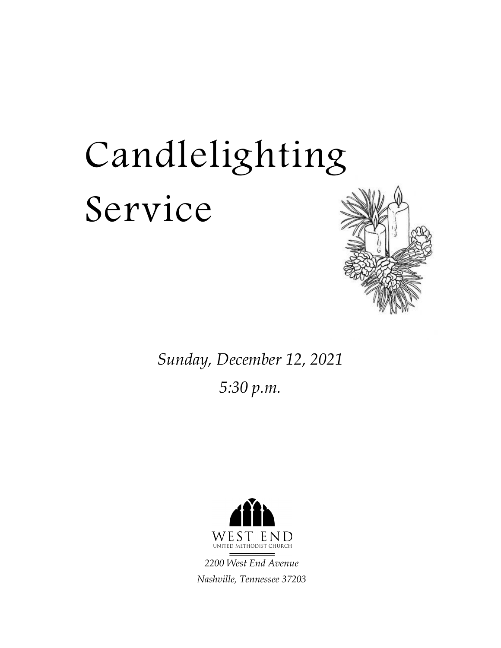# Candlelighting Service



*Sunday, December 12, 2021 5:30 p.m.*



*2200 West End Avenue Nashville, Tennessee 37203*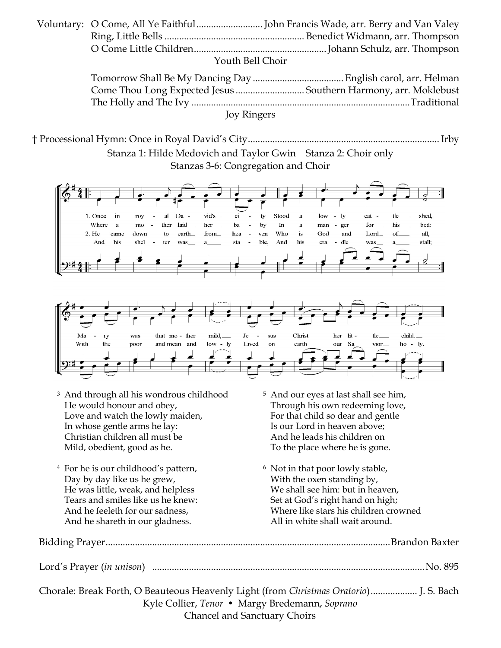| Youth Bell Choir |                                                                 |  |
|------------------|-----------------------------------------------------------------|--|
|                  |                                                                 |  |
|                  | Come Thou Long Expected Jesus  Southern Harmony, arr. Moklebust |  |
|                  |                                                                 |  |
| Joy Ringers      |                                                                 |  |

† Processional Hymn: Once in Royal David's City.............................................................................. Irby Stanza 1: Hilde Medovich and Taylor Gwin Stanza 2: Choir only





- <sup>3</sup> And through all his wondrous childhood <sup>5</sup> And our eyes at last shall see him, He would honour and obey, Through his own redeeming love, Love and watch the lowly maiden, For that child so dear and gentle In whose gentle arms he lay: Is our Lord in heaven above; Christian children all must be And he leads his children on Mild, obedient, good as he. To the place where he is gone.
- <sup>4</sup> For he is our childhood's pattern, <sup>6</sup> Not in that poor lowly stable, Day by day like us he grew, With the oxen standing by, Tears and smiles like us he knew: Set at God's right hand on high; And he shareth in our gladness. All in white shall wait around.
- 
- He was little, weak, and helpless We shall see him: but in heaven, And he feeleth for our sadness, Where like stars his children crowned

| Chorale: Break Forth, O Beauteous Heavenly Light (from Christmas Oratorio) J. S. Bach |  |
|---------------------------------------------------------------------------------------|--|

Kyle Collier, *Tenor •* Margy Bredemann, *Soprano* Chancel and Sanctuary Choirs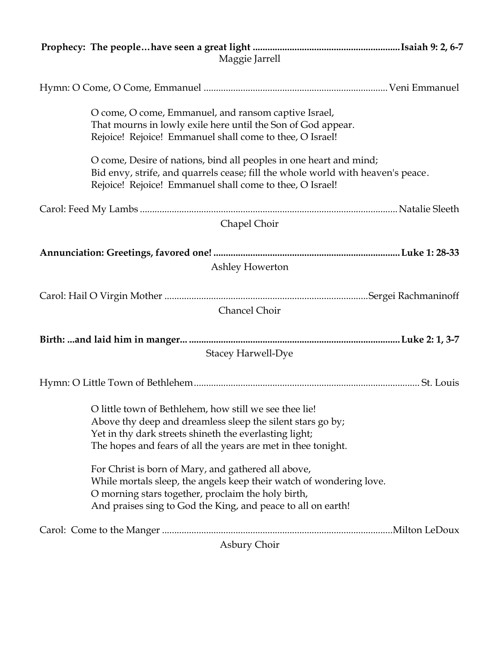| Maggie Jarrell                                                                                                                                                                                                                                   |  |
|--------------------------------------------------------------------------------------------------------------------------------------------------------------------------------------------------------------------------------------------------|--|
|                                                                                                                                                                                                                                                  |  |
| O come, O come, Emmanuel, and ransom captive Israel,<br>That mourns in lowly exile here until the Son of God appear.<br>Rejoice! Rejoice! Emmanuel shall come to thee, O Israel!                                                                 |  |
| O come, Desire of nations, bind all peoples in one heart and mind;<br>Bid envy, strife, and quarrels cease; fill the whole world with heaven's peace.<br>Rejoice! Rejoice! Emmanuel shall come to thee, O Israel!                                |  |
|                                                                                                                                                                                                                                                  |  |
| Chapel Choir                                                                                                                                                                                                                                     |  |
|                                                                                                                                                                                                                                                  |  |
| Ashley Howerton                                                                                                                                                                                                                                  |  |
|                                                                                                                                                                                                                                                  |  |
|                                                                                                                                                                                                                                                  |  |
| Chancel Choir                                                                                                                                                                                                                                    |  |
|                                                                                                                                                                                                                                                  |  |
| <b>Stacey Harwell-Dye</b>                                                                                                                                                                                                                        |  |
|                                                                                                                                                                                                                                                  |  |
|                                                                                                                                                                                                                                                  |  |
| O little town of Bethlehem, how still we see thee lie!<br>Above thy deep and dreamless sleep the silent stars go by;<br>Yet in thy dark streets shineth the everlasting light;<br>The hopes and fears of all the years are met in thee tonight.  |  |
|                                                                                                                                                                                                                                                  |  |
| For Christ is born of Mary, and gathered all above,<br>While mortals sleep, the angels keep their watch of wondering love.<br>O morning stars together, proclaim the holy birth,<br>And praises sing to God the King, and peace to all on earth! |  |
|                                                                                                                                                                                                                                                  |  |
| Asbury Choir                                                                                                                                                                                                                                     |  |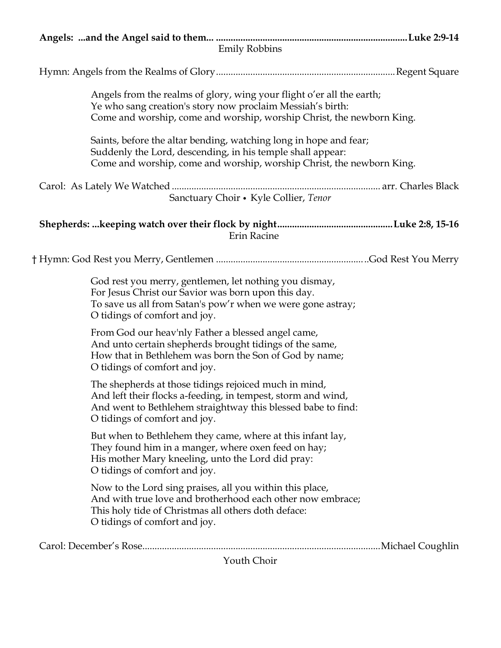| <b>Emily Robbins</b>                                                                                                                                                                                                   |  |
|------------------------------------------------------------------------------------------------------------------------------------------------------------------------------------------------------------------------|--|
|                                                                                                                                                                                                                        |  |
| Angels from the realms of glory, wing your flight o'er all the earth;<br>Ye who sang creation's story now proclaim Messiah's birth:<br>Come and worship, come and worship, worship Christ, the newborn King.           |  |
| Saints, before the altar bending, watching long in hope and fear;<br>Suddenly the Lord, descending, in his temple shall appear:<br>Come and worship, come and worship, worship Christ, the newborn King.               |  |
|                                                                                                                                                                                                                        |  |
| Sanctuary Choir • Kyle Collier, Tenor                                                                                                                                                                                  |  |
| Erin Racine                                                                                                                                                                                                            |  |
|                                                                                                                                                                                                                        |  |
| God rest you merry, gentlemen, let nothing you dismay,<br>For Jesus Christ our Savior was born upon this day.<br>To save us all from Satan's pow'r when we were gone astray;<br>O tidings of comfort and joy.          |  |
| From God our heav'nly Father a blessed angel came,<br>And unto certain shepherds brought tidings of the same,<br>How that in Bethlehem was born the Son of God by name;<br>O tidings of comfort and joy.               |  |
| The shepherds at those tidings rejoiced much in mind,<br>And left their flocks a-feeding, in tempest, storm and wind,<br>And went to Bethlehem straightway this blessed babe to find:<br>O tidings of comfort and joy. |  |
| But when to Bethlehem they came, where at this infant lay,<br>They found him in a manger, where oxen feed on hay;<br>His mother Mary kneeling, unto the Lord did pray:<br>O tidings of comfort and joy.                |  |
| Now to the Lord sing praises, all you within this place,<br>And with true love and brotherhood each other now embrace;<br>This holy tide of Christmas all others doth deface:<br>O tidings of comfort and joy.         |  |
|                                                                                                                                                                                                                        |  |
| Youth Choir                                                                                                                                                                                                            |  |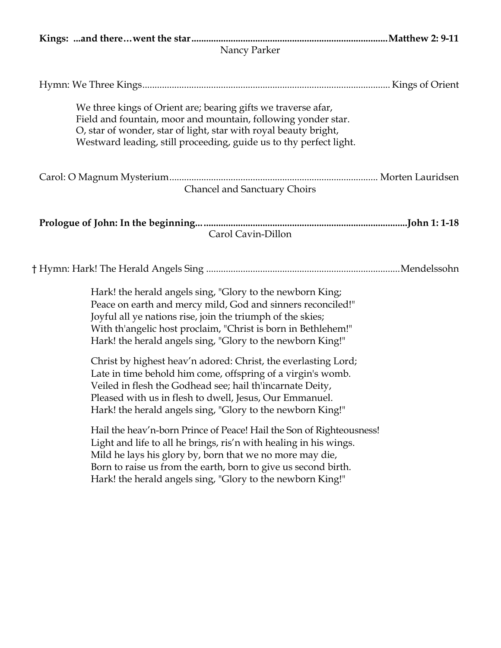| Nancy Parker                                                                                                                                                                                                                                                                                                                          |  |  |  |  |
|---------------------------------------------------------------------------------------------------------------------------------------------------------------------------------------------------------------------------------------------------------------------------------------------------------------------------------------|--|--|--|--|
|                                                                                                                                                                                                                                                                                                                                       |  |  |  |  |
| We three kings of Orient are; bearing gifts we traverse afar,<br>Field and fountain, moor and mountain, following yonder star.<br>O, star of wonder, star of light, star with royal beauty bright,<br>Westward leading, still proceeding, guide us to thy perfect light.                                                              |  |  |  |  |
| Chancel and Sanctuary Choirs                                                                                                                                                                                                                                                                                                          |  |  |  |  |
| Carol Cavin-Dillon                                                                                                                                                                                                                                                                                                                    |  |  |  |  |
|                                                                                                                                                                                                                                                                                                                                       |  |  |  |  |
| Hark! the herald angels sing, "Glory to the newborn King;<br>Peace on earth and mercy mild, God and sinners reconciled!"<br>Joyful all ye nations rise, join the triumph of the skies;<br>With th'angelic host proclaim, "Christ is born in Bethlehem!"<br>Hark! the herald angels sing, "Glory to the newborn King!"                 |  |  |  |  |
| Christ by highest heav'n adored: Christ, the everlasting Lord;<br>Late in time behold him come, offspring of a virgin's womb.<br>Veiled in flesh the Godhead see; hail th'incarnate Deity,<br>Pleased with us in flesh to dwell, Jesus, Our Emmanuel.<br>Hark! the herald angels sing, "Glory to the newborn King!"                   |  |  |  |  |
| Hail the heav'n-born Prince of Peace! Hail the Son of Righteousness!<br>Light and life to all he brings, ris'n with healing in his wings.<br>Mild he lays his glory by, born that we no more may die,<br>Born to raise us from the earth, born to give us second birth.<br>Hark! the herald angels sing, "Glory to the newborn King!" |  |  |  |  |
|                                                                                                                                                                                                                                                                                                                                       |  |  |  |  |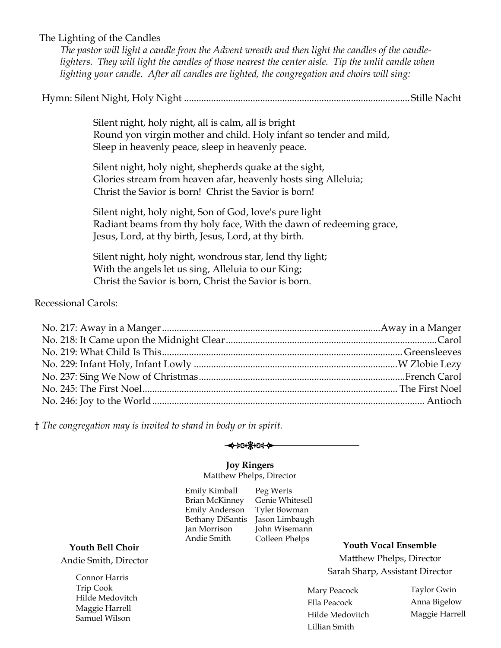# The Lighting of the Candles

*The pastor will light a candle from the Advent wreath and then light the candles of the candlelighters. They will light the candles of those nearest the center aisle. Tip the unlit candle when lighting your candle. After all candles are lighted, the congregation and choirs will sing:*

Hymn: Silent Night, Holy Night ............................................................................................Stille Nacht

Silent night, holy night, all is calm, all is bright Round yon virgin mother and child. Holy infant so tender and mild, Sleep in heavenly peace, sleep in heavenly peace.

Silent night, holy night, shepherds quake at the sight, Glories stream from heaven afar, heavenly hosts sing Alleluia; Christ the Savior is born! Christ the Savior is born!

Silent night, holy night, Son of God, love's pure light Radiant beams from thy holy face, With the dawn of redeeming grace, Jesus, Lord, at thy birth, Jesus, Lord, at thy birth.

Silent night, holy night, wondrous star, lend thy light; With the angels let us sing, Alleluia to our King; Christ the Savior is born, Christ the Savior is born.

Recessional Carols:

† *The congregation may is invited to stand in body or in spirit.*



# **Joy Ringers**

Matthew Phelps, Director

Emily Kimball Brian McKinney Emily Anderson Bethany DiSantis Jason Limbaugh Jan Morrison Andie Smith

Peg Werts Genie Whitesell Tyler Bowman John Wisemann Colleen Phelps

**Youth Vocal Ensemble**

Matthew Phelps, Director Sarah Sharp, Assistant Director

Mary Peacock Ella Peacock Hilde Medovitch Lillian Smith

Taylor Gwin Anna Bigelow Maggie Harrell

# **Youth Bell Choir** Andie Smith, Director

Connor Harris Trip Cook Hilde Medovitch Maggie Harrell Samuel Wilson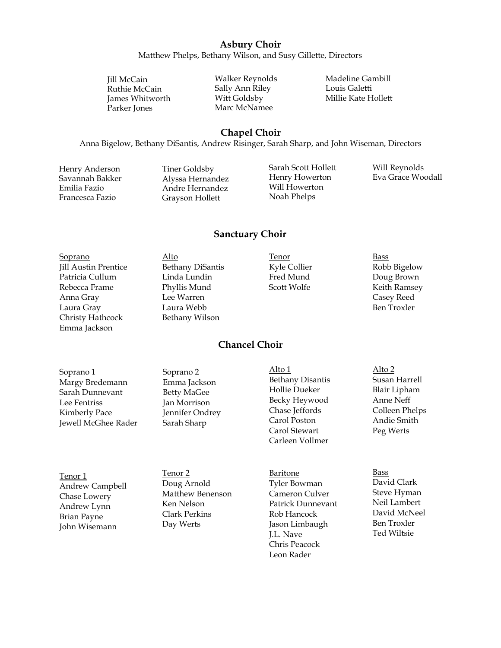# **Asbury Choir**

Matthew Phelps, Bethany Wilson, and Susy Gillette, Directors

Jill McCain Ruthie McCain James Whitworth Parker Jones

Walker Reynolds Sally Ann Riley Witt Goldsby Marc McNamee

Madeline Gambill Louis Galetti Millie Kate Hollett

# **Chapel Choir**

Anna Bigelow, Bethany DiSantis, Andrew Risinger, Sarah Sharp, and John Wiseman, Directors

Henry Anderson Savannah Bakker Emilia Fazio Francesca Fazio

Tiner Goldsby Alyssa Hernandez Andre Hernandez Grayson Hollett

Sarah Scott Hollett Henry Howerton Will Howerton Noah Phelps

Will Reynolds Eva Grace Woodall

# **Sanctuary Choir**

**Chancel Choir**

- Soprano Jill Austin Prentice Patricia Cullum Rebecca Frame Anna Gray Laura Gray Christy Hathcock Emma Jackson
- Alto Bethany DiSantis Linda Lundin Phyllis Mund Lee Warren Laura Webb Bethany Wilson

Tenor Kyle Collier Fred Mund Scott Wolfe

### Bass Robb Bigelow Doug Brown Keith Ramsey Casey Reed Ben Troxler

Soprano 1 Margy Bredemann Sarah Dunnevant Lee Fentriss Kimberly Pace Jewell McGhee Rader

Tenor 1 Andrew Campbell Chase Lowery Andrew Lynn Brian Payne John Wisemann

Soprano 2 Emma Jackson Betty MaGee Jan Morrison Jennifer Ondrey Sarah Sharp

Tenor 2 Doug Arnold Matthew Benenson Ken Nelson Clark Perkins Day Werts

Alto 1 Bethany Disantis Hollie Dueker Becky Heywood Chase Jeffords Carol Poston Carol Stewart Carleen Vollmer

Baritone Tyler Bowman Cameron Culver Patrick Dunnevant Rob Hancock Jason Limbaugh J.L. Nave Chris Peacock Leon Rader

Alto 2 Susan Harrell Blair Lipham Anne Neff Colleen Phelps Andie Smith Peg Werts

Bass David Clark Steve Hyman Neil Lambert David McNeel Ben Troxler Ted Wiltsie